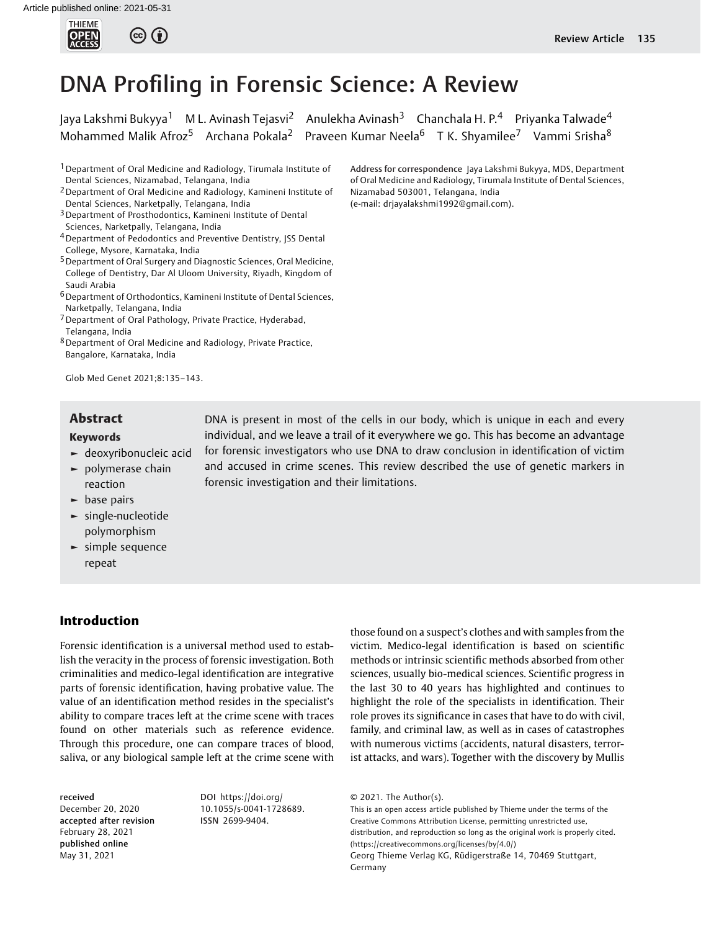

# DNA Profiling in Forensic Science: A Review

Jaya Lakshmi Bukyya<sup>1</sup> M L. Avinash Tejasvi<sup>2</sup> Anulekha Avinash<sup>3</sup> Chanchala H. P.<sup>4</sup> Priyanka Talwade<sup>4</sup> Mohammed Malik Afroz<sup>5</sup> Archana Pokala<sup>2</sup> Praveen Kumar Neela<sup>6</sup> T K. Shyamilee<sup>7</sup> Vammi Srisha<sup>8</sup>

1Department of Oral Medicine and Radiology, Tirumala Institute of Dental Sciences, Nizamabad, Telangana, India

- 2Department of Oral Medicine and Radiology, Kamineni Institute of Dental Sciences, Narketpally, Telangana, India
- <sup>3</sup> Department of Prosthodontics, Kamineni Institute of Dental Sciences, Narketpally, Telangana, India
- 4Department of Pedodontics and Preventive Dentistry, JSS Dental College, Mysore, Karnataka, India
- 5Department of Oral Surgery and Diagnostic Sciences, Oral Medicine, College of Dentistry, Dar Al Uloom University, Riyadh, Kingdom of Saudi Arabia
- 6Department of Orthodontics, Kamineni Institute of Dental Sciences, Narketpally, Telangana, India
- 7Department of Oral Pathology, Private Practice, Hyderabad, Telangana, India
- 8Department of Oral Medicine and Radiology, Private Practice, Bangalore, Karnataka, India

Glob Med Genet 2021;8:135–143.

#### Keywords

- ► deoxyribonucleic acid
- ► polymerase chain reaction
- ► base pairs
- ► single-nucleotide polymorphism
- ► simple sequence repeat

# Introduction

Forensic identification is a universal method used to establish the veracity in the process of forensic investigation. Both criminalities and medico-legal identification are integrative parts of forensic identification, having probative value. The value of an identification method resides in the specialist's ability to compare traces left at the crime scene with traces found on other materials such as reference evidence. Through this procedure, one can compare traces of blood, saliva, or any biological sample left at the crime scene with

received December 20, 2020 accepted after revision February 28, 2021 published online May 31, 2021

DOI [https://doi.org/](https://doi.org/10.1055/s-0041-1728689) [10.1055/s-0041-1728689](https://doi.org/10.1055/s-0041-1728689). ISSN 2699-9404.

Address for correspondence Jaya Lakshmi Bukyya, MDS, Department of Oral Medicine and Radiology, Tirumala Institute of Dental Sciences, Nizamabad 503001, Telangana, India (e-mail: [drjayalakshmi1992@gmail.com\)](mailto:drjayalakshmi1992@gmail.com).

**Abstract** DNA is present in most of the cells in our body, which is unique in each and every individual, and we leave a trail of it everywhere we go. This has become an advantage for forensic investigators who use DNA to draw conclusion in identification of victim and accused in crime scenes. This review described the use of genetic markers in forensic investigation and their limitations.

> those found on a suspect's clothes and with samples from the victim. Medico-legal identification is based on scientific methods or intrinsic scientific methods absorbed from other sciences, usually bio-medical sciences. Scientific progress in the last 30 to 40 years has highlighted and continues to highlight the role of the specialists in identification. Their role proves its significance in cases that have to do with civil, family, and criminal law, as well as in cases of catastrophes with numerous victims (accidents, natural disasters, terrorist attacks, and wars). Together with the discovery by Mullis

This is an open access article published by Thieme under the terms of the Creative Commons Attribution License, permitting unrestricted use, distribution, and reproduction so long as the original work is properly cited. (https://creativecommons.org/licenses/by/4.0/) Georg Thieme Verlag KG, Rüdigerstraße 14, 70469 Stuttgart, Germany

<sup>© 2021.</sup> The Author(s).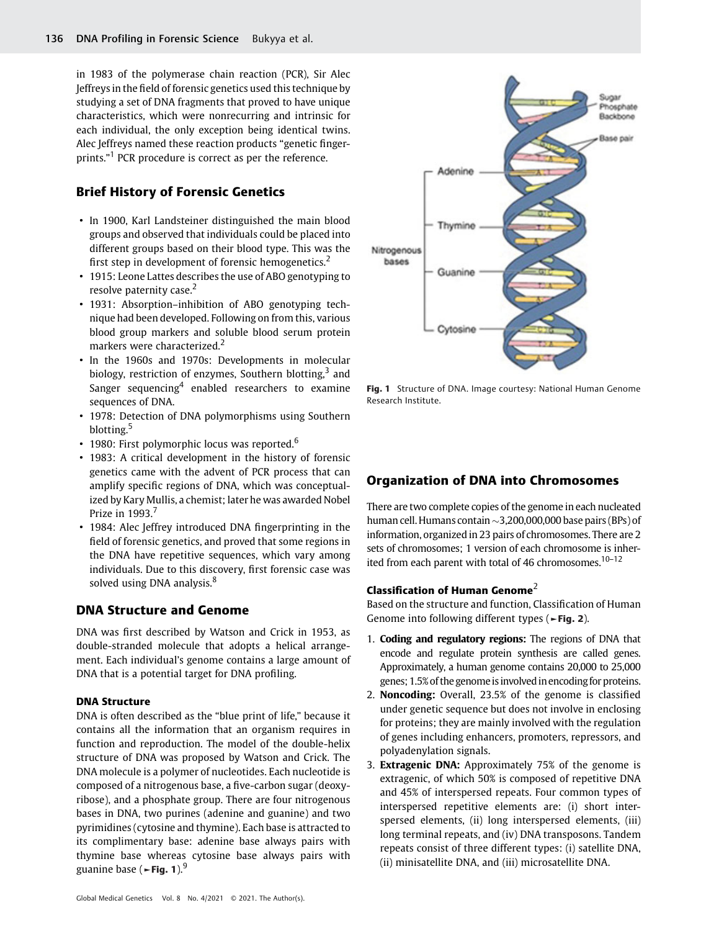in 1983 of the polymerase chain reaction (PCR), Sir Alec Jeffreys in thefield of forensic genetics used this technique by studying a set of DNA fragments that proved to have unique characteristics, which were nonrecurring and intrinsic for each individual, the only exception being identical twins. Alec Jeffreys named these reaction products "genetic fingerprints."<sup>1</sup> PCR procedure is correct as per the reference.

# Brief History of Forensic Genetics

- In 1900, Karl Landsteiner distinguished the main blood groups and observed that individuals could be placed into different groups based on their blood type. This was the first step in development of forensic hemogenetics.<sup>2</sup>
- 1915: Leone Lattes describes the use of ABO genotyping to resolve paternity case.<sup>2</sup>
- 1931: Absorption–inhibition of ABO genotyping technique had been developed. Following on from this, various blood group markers and soluble blood serum protein markers were characterized.<sup>2</sup>
- In the 1960s and 1970s: Developments in molecular biology, restriction of enzymes, Southern blotting,<sup>3</sup> and Sanger sequencing $4$  enabled researchers to examine sequences of DNA.
- 1978: Detection of DNA polymorphisms using Southern blotting.<sup>5</sup>
- 1980: First polymorphic locus was reported.<sup>6</sup>
- 1983: A critical development in the history of forensic genetics came with the advent of PCR process that can amplify specific regions of DNA, which was conceptualized by Kary Mullis, a chemist; later he was awarded Nobel Prize in 1993.<sup>7</sup>
- 1984: Alec Jeffrey introduced DNA fingerprinting in the field of forensic genetics, and proved that some regions in the DNA have repetitive sequences, which vary among individuals. Due to this discovery, first forensic case was solved using DNA analysis.<sup>8</sup>

# DNA Structure and Genome

DNA was first described by Watson and Crick in 1953, as double-stranded molecule that adopts a helical arrangement. Each individual's genome contains a large amount of DNA that is a potential target for DNA profiling.

# DNA Structure

DNA is often described as the "blue print of life," because it contains all the information that an organism requires in function and reproduction. The model of the double-helix structure of DNA was proposed by Watson and Crick. The DNA molecule is a polymer of nucleotides. Each nucleotide is composed of a nitrogenous base, a five-carbon sugar (deoxyribose), and a phosphate group. There are four nitrogenous bases in DNA, two purines (adenine and guanine) and two pyrimidines (cytosine and thymine). Each base is attracted to its complimentary base: adenine base always pairs with thymine base whereas cytosine base always pairs with guanine base ( $\blacktriangleright$ Fig. 1).<sup>9</sup>



Fig. 1 Structure of DNA. Image courtesy: National Human Genome Research Institute.

# Organization of DNA into Chromosomes

There are two complete copies of the genome in each nucleated human cell. Humans contain  $\sim$ 3,200,000,000 base pairs (BPs) of information, organized in 23 pairs of chromosomes. There are 2 sets of chromosomes; 1 version of each chromosome is inherited from each parent with total of 46 chromosomes.<sup>10–12</sup>

#### Classification of Human Genome<sup>2</sup>

Based on the structure and function, Classification of Human Genome into following different types (►Fig. 2).

- 1. Coding and regulatory regions: The regions of DNA that encode and regulate protein synthesis are called genes. Approximately, a human genome contains 20,000 to 25,000 genes; 1.5% of the genome is involved in encoding for proteins.
- 2. Noncoding: Overall, 23.5% of the genome is classified under genetic sequence but does not involve in enclosing for proteins; they are mainly involved with the regulation of genes including enhancers, promoters, repressors, and polyadenylation signals.
- 3. Extragenic DNA: Approximately 75% of the genome is extragenic, of which 50% is composed of repetitive DNA and 45% of interspersed repeats. Four common types of interspersed repetitive elements are: (i) short interspersed elements, (ii) long interspersed elements, (iii) long terminal repeats, and (iv) DNA transposons. Tandem repeats consist of three different types: (i) satellite DNA, (ii) minisatellite DNA, and (iii) microsatellite DNA.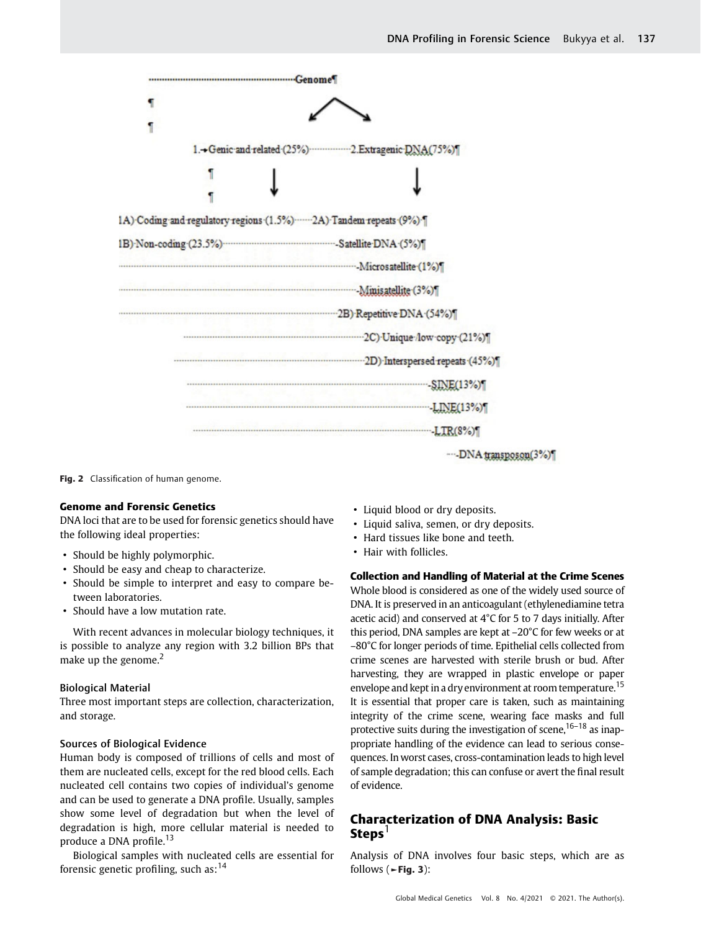| ٩ |                                                                     |                                                  |
|---|---------------------------------------------------------------------|--------------------------------------------------|
|   |                                                                     |                                                  |
|   |                                                                     | 1.+Genic and related (25%) 2.Extragenic DNA(75%) |
|   |                                                                     |                                                  |
|   |                                                                     |                                                  |
|   | 1A) Coding and regulatory regions (1.5%)  2A) Tandem repeats (9%) [ |                                                  |
|   |                                                                     |                                                  |
|   |                                                                     |                                                  |
|   |                                                                     |                                                  |
|   |                                                                     | 2B) Repetitive DNA (54%)                         |
|   |                                                                     |                                                  |
|   |                                                                     |                                                  |
|   |                                                                     | $\mathbb{SINE}(13\%)$                            |
|   |                                                                     | LINE(13%)                                        |
|   |                                                                     |                                                  |
|   |                                                                     | ----DNA transposon(3%)                           |

Fig. 2 Classification of human genome.

# Genome and Forensic Genetics

DNA loci that are to be used for forensic genetics should have the following ideal properties:

- Should be highly polymorphic.
- Should be easy and cheap to characterize.
- Should be simple to interpret and easy to compare between laboratories.
- Should have a low mutation rate.

With recent advances in molecular biology techniques, it is possible to analyze any region with 3.2 billion BPs that make up the genome. $<sup>2</sup>$ </sup>

#### Biological Material

Three most important steps are collection, characterization, and storage.

#### Sources of Biological Evidence

Human body is composed of trillions of cells and most of them are nucleated cells, except for the red blood cells. Each nucleated cell contains two copies of individual's genome and can be used to generate a DNA profile. Usually, samples show some level of degradation but when the level of degradation is high, more cellular material is needed to produce a DNA profile.<sup>13</sup>

Biological samples with nucleated cells are essential for forensic genetic profiling, such as: $14$ 

- Liquid blood or dry deposits.
- Liquid saliva, semen, or dry deposits.
- Hard tissues like bone and teeth.
- Hair with follicles.

# Collection and Handling of Material at the Crime Scenes

Whole blood is considered as one of the widely used source of DNA. It is preserved in an anticoagulant (ethylenediamine tetra acetic acid) and conserved at 4°C for 5 to 7 days initially. After this period, DNA samples are kept at –20°C for few weeks or at –80°C for longer periods of time. Epithelial cells collected from crime scenes are harvested with sterile brush or bud. After harvesting, they are wrapped in plastic envelope or paper envelope and kept in a dry environment at room temperature.<sup>15</sup> It is essential that proper care is taken, such as maintaining integrity of the crime scene, wearing face masks and full protective suits during the investigation of scene,  $16-18$  as inappropriate handling of the evidence can lead to serious consequences. In worst cases, cross-contamination leads to high level of sample degradation; this can confuse or avert the final result of evidence.

# Characterization of DNA Analysis: Basic  $Steps<sup>1</sup>$

Analysis of DNA involves four basic steps, which are as follows ( $\blacktriangleright$  Fig. 3):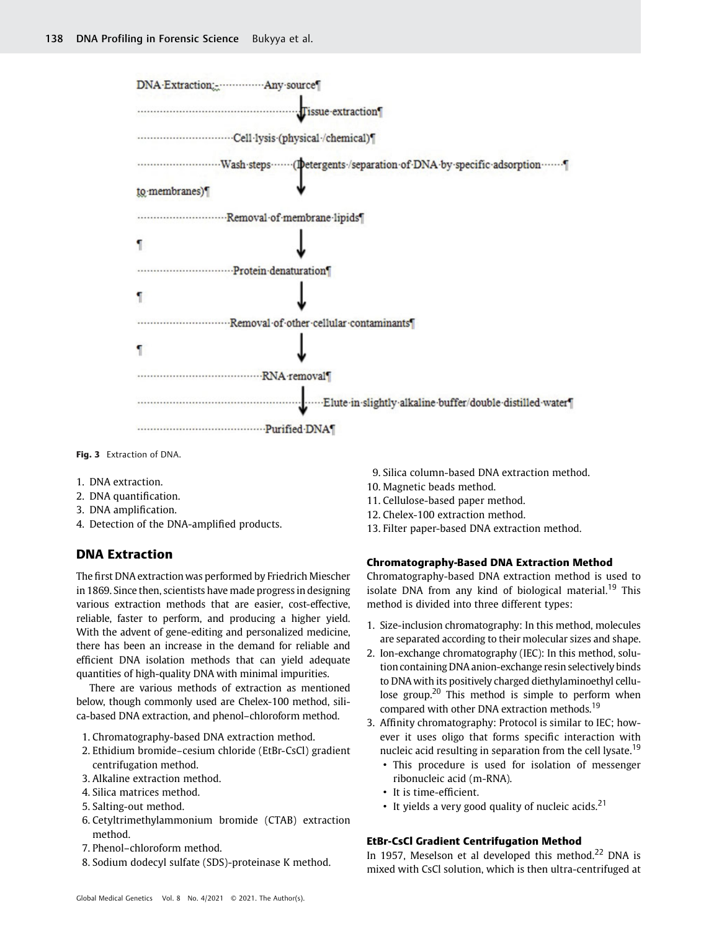| DNA Extraction:  Any source                                                    |
|--------------------------------------------------------------------------------|
|                                                                                |
|                                                                                |
| Wash-steps------- (Detergents-/separation-of-DNA-by-specific-adsorption------- |
| to membranes)                                                                  |
| Removal of membrane lipids                                                     |
|                                                                                |
| Protein-denaturation¶                                                          |
|                                                                                |
|                                                                                |
|                                                                                |
| RNA removal                                                                    |
|                                                                                |
|                                                                                |

Fig. 3 Extraction of DNA.

- 1. DNA extraction.
- 2. DNA quantification.
- 3. DNA amplification.
- 4. Detection of the DNA-amplified products.

# DNA Extraction

The first DNA extraction was performed by Friedrich Miescher in 1869. Since then, scientists have made progress in designing various extraction methods that are easier, cost-effective, reliable, faster to perform, and producing a higher yield. With the advent of gene-editing and personalized medicine, there has been an increase in the demand for reliable and efficient DNA isolation methods that can yield adequate quantities of high-quality DNA with minimal impurities.

There are various methods of extraction as mentioned below, though commonly used are Chelex-100 method, silica-based DNA extraction, and phenol–chloroform method.

- 1. Chromatography-based DNA extraction method.
- 2. Ethidium bromide–cesium chloride (EtBr-CsCl) gradient centrifugation method.
- 3. Alkaline extraction method.
- 4. Silica matrices method.
- 5. Salting-out method.
- 6. Cetyltrimethylammonium bromide (CTAB) extraction method.
- 7. Phenol–chloroform method.
- 8. Sodium dodecyl sulfate (SDS)-proteinase K method.

9. Silica column-based DNA extraction method.

- 10. Magnetic beads method.
- 11. Cellulose-based paper method.
- 12. Chelex-100 extraction method.
- 13. Filter paper-based DNA extraction method.

#### Chromatography-Based DNA Extraction Method

Chromatography-based DNA extraction method is used to isolate DNA from any kind of biological material.<sup>19</sup> This method is divided into three different types:

- 1. Size-inclusion chromatography: In this method, molecules are separated according to their molecular sizes and shape.
- 2. Ion-exchange chromatography (IEC): In this method, solution containing DNA anion-exchange resin selectively binds to DNA with its positively charged diethylaminoethyl cellulose group.<sup>20</sup> This method is simple to perform when compared with other DNA extraction methods.<sup>19</sup>
- 3. Affinity chromatography: Protocol is similar to IEC; however it uses oligo that forms specific interaction with nucleic acid resulting in separation from the cell lysate.<sup>19</sup>
	- This procedure is used for isolation of messenger ribonucleic acid (m-RNA).
	- It is time-efficient.
	- It yields a very good quality of nucleic acids.<sup>21</sup>

# EtBr-CsCl Gradient Centrifugation Method

In 1957, Meselson et al developed this method.<sup>22</sup> DNA is mixed with CsCl solution, which is then ultra-centrifuged at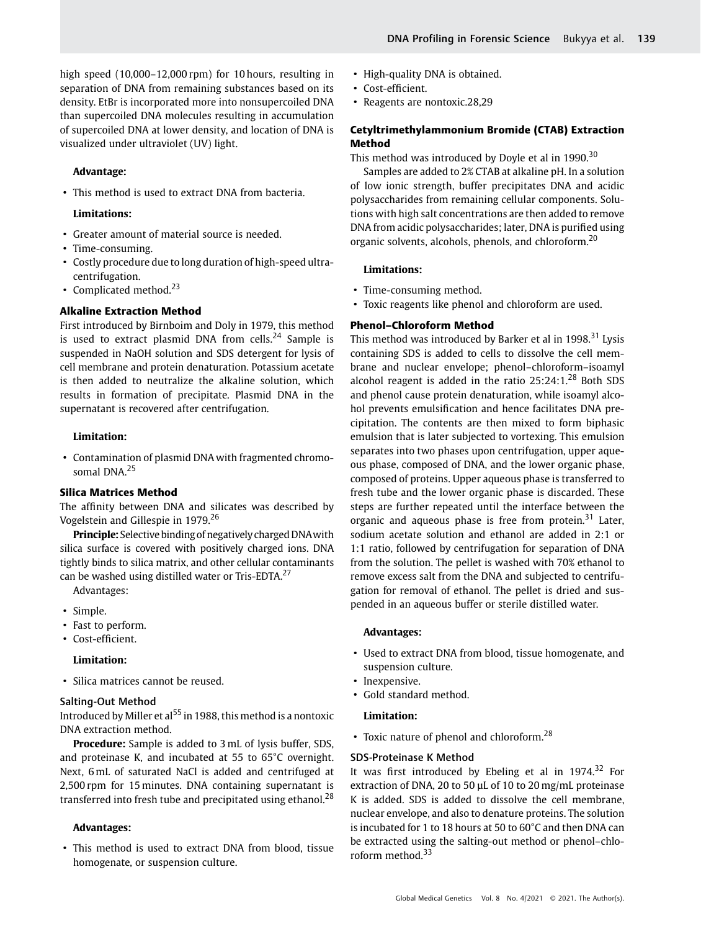high speed (10,000–12,000 rpm) for 10 hours, resulting in separation of DNA from remaining substances based on its density. EtBr is incorporated more into nonsupercoiled DNA than supercoiled DNA molecules resulting in accumulation of supercoiled DNA at lower density, and location of DNA is visualized under ultraviolet (UV) light.

#### Advantage:

• This method is used to extract DNA from bacteria.

#### Limitations:

- Greater amount of material source is needed.
- Time-consuming.
- Costly procedure due to long duration of high-speed ultracentrifugation.
- Complicated method. $23$

### Alkaline Extraction Method

First introduced by Birnboim and Doly in 1979, this method is used to extract plasmid DNA from cells. $24$  Sample is suspended in NaOH solution and SDS detergent for lysis of cell membrane and protein denaturation. Potassium acetate is then added to neutralize the alkaline solution, which results in formation of precipitate. Plasmid DNA in the supernatant is recovered after centrifugation.

#### Limitation:

• Contamination of plasmid DNA with fragmented chromosomal DNA.<sup>25</sup>

#### Silica Matrices Method

The affinity between DNA and silicates was described by Vogelstein and Gillespie in 1979.<sup>26</sup>

Principle: Selective binding of negatively charged DNAwith silica surface is covered with positively charged ions. DNA tightly binds to silica matrix, and other cellular contaminants can be washed using distilled water or Tris-EDTA.<sup>27</sup>

Advantages:

- Simple.
- Fast to perform.
- Cost-efficient.

#### Limitation:

• Silica matrices cannot be reused.

#### Salting-Out Method

Introduced by Miller et al<sup>55</sup> in 1988, this method is a nontoxic DNA extraction method.

Procedure: Sample is added to 3 mL of lysis buffer, SDS, and proteinase K, and incubated at 55 to 65°C overnight. Next, 6 mL of saturated NaCl is added and centrifuged at 2,500 rpm for 15 minutes. DNA containing supernatant is transferred into fresh tube and precipitated using ethanol.<sup>28</sup>

#### Advantages:

• This method is used to extract DNA from blood, tissue homogenate, or suspension culture.

- High-quality DNA is obtained.
- Cost-efficient.
- Reagents are nontoxic.28,29

# Cetyltrimethylammonium Bromide (CTAB) Extraction Method

This method was introduced by Doyle et al in  $1990.<sup>30</sup>$ 

Samples are added to 2% CTAB at alkaline pH. In a solution of low ionic strength, buffer precipitates DNA and acidic polysaccharides from remaining cellular components. Solutions with high salt concentrations are then added to remove DNA from acidic polysaccharides; later, DNA is purified using organic solvents, alcohols, phenols, and chloroform.<sup>20</sup>

#### Limitations:

- Time-consuming method.
- Toxic reagents like phenol and chloroform are used.

#### Phenol–Chloroform Method

This method was introduced by Barker et al in 1998.<sup>31</sup> Lysis containing SDS is added to cells to dissolve the cell membrane and nuclear envelope; phenol–chloroform–isoamyl alcohol reagent is added in the ratio  $25:24:1.^{28}$  Both SDS and phenol cause protein denaturation, while isoamyl alcohol prevents emulsification and hence facilitates DNA precipitation. The contents are then mixed to form biphasic emulsion that is later subjected to vortexing. This emulsion separates into two phases upon centrifugation, upper aqueous phase, composed of DNA, and the lower organic phase, composed of proteins. Upper aqueous phase is transferred to fresh tube and the lower organic phase is discarded. These steps are further repeated until the interface between the organic and aqueous phase is free from protein. $31$  Later, sodium acetate solution and ethanol are added in 2:1 or 1:1 ratio, followed by centrifugation for separation of DNA from the solution. The pellet is washed with 70% ethanol to remove excess salt from the DNA and subjected to centrifugation for removal of ethanol. The pellet is dried and suspended in an aqueous buffer or sterile distilled water.

#### Advantages:

- Used to extract DNA from blood, tissue homogenate, and suspension culture.
- Inexpensive.
- Gold standard method.

#### Limitation:

• Toxic nature of phenol and chloroform.<sup>28</sup>

#### SDS-Proteinase K Method

It was first introduced by Ebeling et al in 1974.<sup>32</sup> For extraction of DNA, 20 to 50 µL of 10 to 20 mg/mL proteinase K is added. SDS is added to dissolve the cell membrane, nuclear envelope, and also to denature proteins. The solution is incubated for 1 to 18 hours at 50 to 60°C and then DNA can be extracted using the salting-out method or phenol–chloroform method. $33$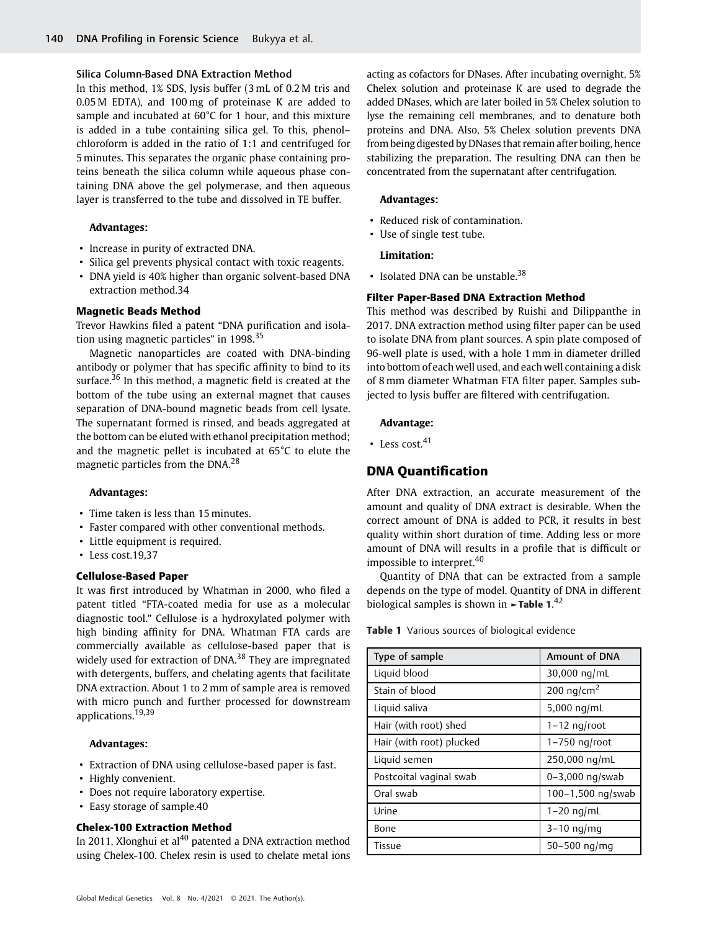#### Silica Column-Based DNA Extraction Method

In this method, 1% SDS, lysis buffer (3 mL of 0.2 M tris and 0.05 M EDTA), and 100 mg of proteinase K are added to sample and incubated at 60°C for 1 hour, and this mixture is added in a tube containing silica gel. To this, phenol– chloroform is added in the ratio of 1:1 and centrifuged for 5 minutes. This separates the organic phase containing proteins beneath the silica column while aqueous phase containing DNA above the gel polymerase, and then aqueous layer is transferred to the tube and dissolved in TE buffer.

#### Advantages:

- Increase in purity of extracted DNA.
- Silica gel prevents physical contact with toxic reagents.
- DNA yield is 40% higher than organic solvent-based DNA extraction method.34

#### Magnetic Beads Method

Trevor Hawkins filed a patent "DNA purification and isolation using magnetic particles" in 1998.<sup>35</sup>

Magnetic nanoparticles are coated with DNA-binding antibody or polymer that has specific affinity to bind to its surface.<sup>36</sup> In this method, a magnetic field is created at the bottom of the tube using an external magnet that causes separation of DNA-bound magnetic beads from cell lysate. The supernatant formed is rinsed, and beads aggregated at the bottom can be eluted with ethanol precipitation method; and the magnetic pellet is incubated at 65°C to elute the magnetic particles from the DNA.<sup>28</sup>

#### Advantages:

- Time taken is less than 15 minutes.
- Faster compared with other conventional methods.
- Little equipment is required.
- Less cost.19,37

# Cellulose-Based Paper

It was first introduced by Whatman in 2000, who filed a patent titled "FTA-coated media for use as a molecular diagnostic tool." Cellulose is a hydroxylated polymer with high binding affinity for DNA. Whatman FTA cards are commercially available as cellulose-based paper that is widely used for extraction of DNA.<sup>38</sup> They are impregnated with detergents, buffers, and chelating agents that facilitate DNA extraction. About 1 to 2 mm of sample area is removed with micro punch and further processed for downstream applications.<sup>19,39</sup>

#### Advantages:

- Extraction of DNA using cellulose-based paper is fast.
- Highly convenient.
- Does not require laboratory expertise.
- Easy storage of sample.40

# Chelex-100 Extraction Method

In 2011, Xlonghui et al<sup>40</sup> patented a DNA extraction method using Chelex-100. Chelex resin is used to chelate metal ions acting as cofactors for DNases. After incubating overnight, 5% Chelex solution and proteinase K are used to degrade the added DNases, which are later boiled in 5% Chelex solution to lyse the remaining cell membranes, and to denature both proteins and DNA. Also, 5% Chelex solution prevents DNA from being digested by DNases that remain after boiling, hence stabilizing the preparation. The resulting DNA can then be concentrated from the supernatant after centrifugation.

#### Advantages:

- Reduced risk of contamination.
- Use of single test tube.

#### Limitation:

• Isolated DNA can be unstable.<sup>38</sup>

#### Filter Paper-Based DNA Extraction Method

This method was described by Ruishi and Dilippanthe in 2017. DNA extraction method using filter paper can be used to isolate DNA from plant sources. A spin plate composed of 96-well plate is used, with a hole 1 mm in diameter drilled into bottom of each well used, and each well containing a disk of 8 mm diameter Whatman FTA filter paper. Samples subjected to lysis buffer are filtered with centrifugation.

#### Advantage:

• Less cost. $41$ 

# DNA Quantification

After DNA extraction, an accurate measurement of the amount and quality of DNA extract is desirable. When the correct amount of DNA is added to PCR, it results in best quality within short duration of time. Adding less or more amount of DNA will results in a profile that is difficult or impossible to interpret.<sup>40</sup>

Quantity of DNA that can be extracted from a sample depends on the type of model. Quantity of DNA in different biological samples is shown in  $\blacktriangleright$ Table 1.<sup>42</sup>

**Table 1** Various sources of biological evidence

| Type of sample           | <b>Amount of DNA</b>   |
|--------------------------|------------------------|
| Liquid blood             | 30,000 ng/mL           |
| Stain of blood           | 200 ng/cm <sup>2</sup> |
| Liquid saliva            | 5,000 $nq/mL$          |
| Hair (with root) shed    | $1-12$ ng/root         |
| Hair (with root) plucked | $1-750$ ng/root        |
| Liquid semen             | 250,000 ng/mL          |
| Postcoital vaginal swab  | $0 - 3,000$ ng/swab    |
| Oral swab                | 100-1,500 ng/swab      |
| Urine                    | $1-20$ ng/mL           |
| Bone                     | $3-10$ ng/mg           |
| Tissue                   | $50 - 500$ ng/mg       |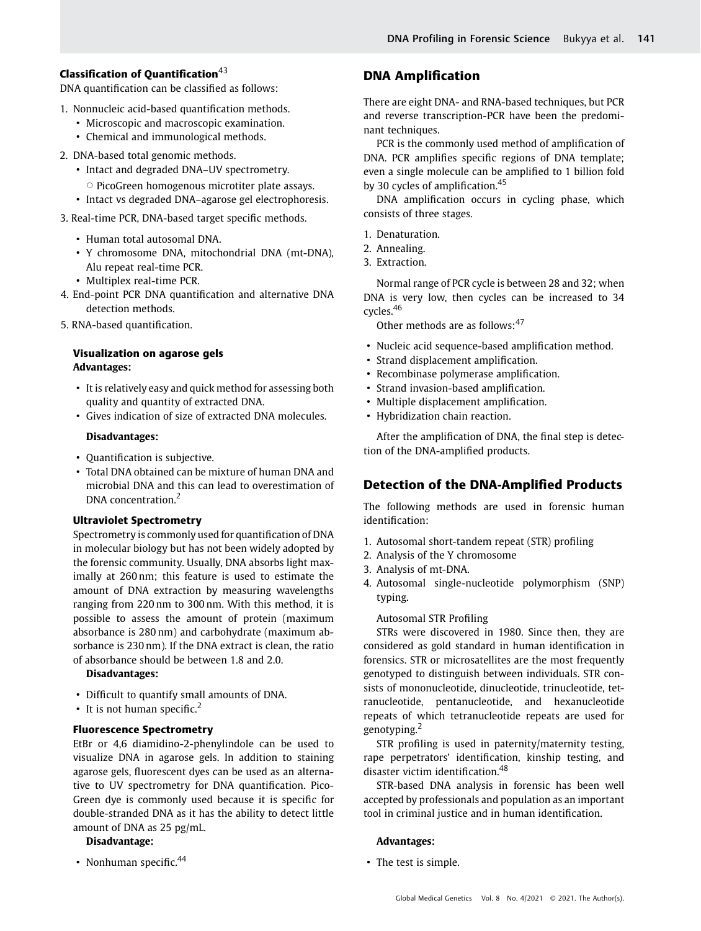# Classification of Quantification $43$

DNA quantification can be classified as follows:

- 1. Nonnucleic acid-based quantification methods.
	- Microscopic and macroscopic examination.
	- Chemical and immunological methods.
- 2. DNA-based total genomic methods.
	- Intact and degraded DNA–UV spectrometry.
		- $\circ$  PicoGreen homogenous microtiter plate assays.
	- Intact vs degraded DNA–agarose gel electrophoresis.
- 3. Real-time PCR, DNA-based target specific methods.
	- Human total autosomal DNA.
	- Y chromosome DNA, mitochondrial DNA (mt-DNA), Alu repeat real-time PCR.
	- Multiplex real-time PCR.
- 4. End-point PCR DNA quantification and alternative DNA detection methods.
- 5. RNA-based quantification.

# Visualization on agarose gels Advantages:

- It is relatively easy and quick method for assessing both quality and quantity of extracted DNA.
- Gives indication of size of extracted DNA molecules.

# Disadvantages:

- Quantification is subjective.
- Total DNA obtained can be mixture of human DNA and microbial DNA and this can lead to overestimation of DNA concentration.<sup>2</sup>

# Ultraviolet Spectrometry

Spectrometry is commonly used for quantification of DNA in molecular biology but has not been widely adopted by the forensic community. Usually, DNA absorbs light maximally at 260 nm; this feature is used to estimate the amount of DNA extraction by measuring wavelengths ranging from 220 nm to 300 nm. With this method, it is possible to assess the amount of protein (maximum absorbance is 280 nm) and carbohydrate (maximum absorbance is 230 nm). If the DNA extract is clean, the ratio of absorbance should be between 1.8 and 2.0.

# Disadvantages:

- Difficult to quantify small amounts of DNA.
- It is not human specific.<sup>2</sup>

# Fluorescence Spectrometry

EtBr or 4,6 diamidino-2-phenylindole can be used to visualize DNA in agarose gels. In addition to staining agarose gels, fluorescent dyes can be used as an alternative to UV spectrometry for DNA quantification. Pico-Green dye is commonly used because it is specific for double-stranded DNA as it has the ability to detect little amount of DNA as 25 pg/mL.

# Disadvantage:

• Nonhuman specific. $44$ 

# DNA Amplification

There are eight DNA- and RNA-based techniques, but PCR and reverse transcription-PCR have been the predominant techniques.

PCR is the commonly used method of amplification of DNA. PCR amplifies specific regions of DNA template; even a single molecule can be amplified to 1 billion fold by 30 cycles of amplification.<sup>45</sup>

DNA amplification occurs in cycling phase, which consists of three stages.

- 1. Denaturation.
- 2. Annealing.
- 3. Extraction.

Normal range of PCR cycle is between 28 and 32; when DNA is very low, then cycles can be increased to 34 cycles.<sup>46</sup>

Other methods are as follows:<sup>47</sup>

- Nucleic acid sequence-based amplification method.
- Strand displacement amplification.
- Recombinase polymerase amplification.
- Strand invasion-based amplification.
- Multiple displacement amplification.
- Hybridization chain reaction.

After the amplification of DNA, the final step is detection of the DNA-amplified products.

# Detection of the DNA-Amplified Products

The following methods are used in forensic human identification:

- 1. Autosomal short-tandem repeat (STR) profiling
- 2. Analysis of the Y chromosome
- 3. Analysis of mt-DNA.
- 4. Autosomal single-nucleotide polymorphism (SNP) typing.

# Autosomal STR Profiling

STRs were discovered in 1980. Since then, they are considered as gold standard in human identification in forensics. STR or microsatellites are the most frequently genotyped to distinguish between individuals. STR consists of mononucleotide, dinucleotide, trinucleotide, tetranucleotide, pentanucleotide, and hexanucleotide repeats of which tetranucleotide repeats are used for genotyping.<sup>2</sup>

STR profiling is used in paternity/maternity testing, rape perpetrators' identification, kinship testing, and disaster victim identification.<sup>48</sup>

STR-based DNA analysis in forensic has been well accepted by professionals and population as an important tool in criminal justice and in human identification.

# Advantages:

• The test is simple.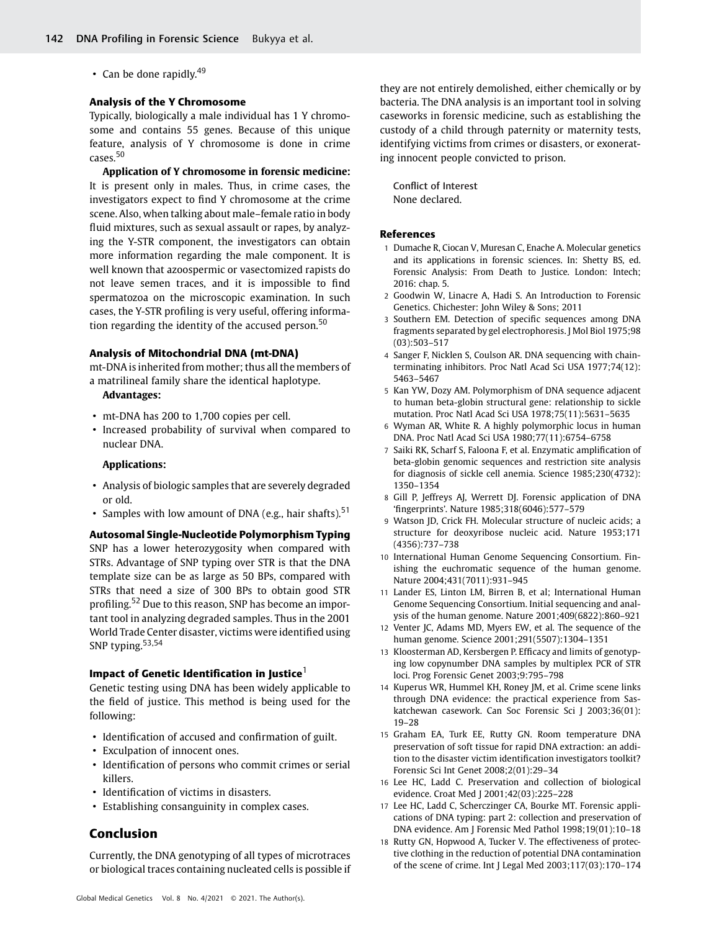• Can be done rapidly. $49$ 

#### Analysis of the Y Chromosome

Typically, biologically a male individual has 1 Y chromosome and contains 55 genes. Because of this unique feature, analysis of Y chromosome is done in crime cases.<sup>50</sup>

Application of Y chromosome in forensic medicine: It is present only in males. Thus, in crime cases, the investigators expect to find Y chromosome at the crime scene. Also, when talking about male–female ratio in body fluid mixtures, such as sexual assault or rapes, by analyzing the Y-STR component, the investigators can obtain more information regarding the male component. It is well known that azoospermic or vasectomized rapists do not leave semen traces, and it is impossible to find spermatozoa on the microscopic examination. In such cases, the Y-STR profiling is very useful, offering information regarding the identity of the accused person.<sup>50</sup>

#### Analysis of Mitochondrial DNA (mt-DNA)

mt-DNA is inherited from mother; thus all the members of a matrilineal family share the identical haplotype.

# Advantages:

- mt-DNA has 200 to 1,700 copies per cell.
- Increased probability of survival when compared to nuclear DNA.

#### Applications:

- Analysis of biologic samples that are severely degraded or old.
- Samples with low amount of DNA (e.g., hair shafts).<sup>51</sup>

#### Autosomal Single-Nucleotide Polymorphism Typing

SNP has a lower heterozygosity when compared with STRs. Advantage of SNP typing over STR is that the DNA template size can be as large as 50 BPs, compared with STRs that need a size of 300 BPs to obtain good STR profiling.<sup>52</sup> Due to this reason, SNP has become an important tool in analyzing degraded samples. Thus in the 2001 World Trade Center disaster, victims were identified using SNP typing. $53,54$ 

### Impact of Genetic Identification in Justice $^1$

Genetic testing using DNA has been widely applicable to the field of justice. This method is being used for the following:

- Identification of accused and confirmation of guilt.
- Exculpation of innocent ones.
- Identification of persons who commit crimes or serial killers.
- Identification of victims in disasters.
- Establishing consanguinity in complex cases.

# Conclusion

Currently, the DNA genotyping of all types of microtraces or biological traces containing nucleated cells is possible if

they are not entirely demolished, either chemically or by bacteria. The DNA analysis is an important tool in solving caseworks in forensic medicine, such as establishing the custody of a child through paternity or maternity tests, identifying victims from crimes or disasters, or exonerating innocent people convicted to prison.

Conflict of Interest None declared.

#### References

- 1 Dumache R, Ciocan V, Muresan C, Enache A. Molecular genetics and its applications in forensic sciences. In: Shetty BS, ed. Forensic Analysis: From Death to Justice. London: Intech; 2016: chap. 5.
- 2 Goodwin W, Linacre A, Hadi S. An Introduction to Forensic Genetics. Chichester: John Wiley & Sons; 2011
- 3 Southern EM. Detection of specific sequences among DNA fragments separated by gel electrophoresis. J Mol Biol 1975;98 (03):503–517
- 4 Sanger F, Nicklen S, Coulson AR. DNA sequencing with chainterminating inhibitors. Proc Natl Acad Sci USA 1977;74(12): 5463–5467
- 5 Kan YW, Dozy AM. Polymorphism of DNA sequence adjacent to human beta-globin structural gene: relationship to sickle mutation. Proc Natl Acad Sci USA 1978;75(11):5631–5635
- 6 Wyman AR, White R. A highly polymorphic locus in human DNA. Proc Natl Acad Sci USA 1980;77(11):6754–6758
- 7 Saiki RK, Scharf S, Faloona F, et al. Enzymatic amplification of beta-globin genomic sequences and restriction site analysis for diagnosis of sickle cell anemia. Science 1985;230(4732): 1350–1354
- 8 Gill P, Jeffreys AJ, Werrett DJ. Forensic application of DNA 'fingerprints'. Nature 1985;318(6046):577–579
- 9 Watson JD, Crick FH. Molecular structure of nucleic acids; a structure for deoxyribose nucleic acid. Nature 1953;171 (4356):737–738
- 10 International Human Genome Sequencing Consortium. Finishing the euchromatic sequence of the human genome. Nature 2004;431(7011):931–945
- 11 Lander ES, Linton LM, Birren B, et al; International Human Genome Sequencing Consortium. Initial sequencing and analysis of the human genome. Nature 2001;409(6822):860–921
- 12 Venter JC, Adams MD, Myers EW, et al. The sequence of the human genome. Science 2001;291(5507):1304–1351
- 13 Kloosterman AD, Kersbergen P. Efficacy and limits of genotyping low copynumber DNA samples by multiplex PCR of STR loci. Prog Forensic Genet 2003;9:795–798
- 14 Kuperus WR, Hummel KH, Roney JM, et al. Crime scene links through DNA evidence: the practical experience from Saskatchewan casework. Can Soc Forensic Sci J 2003;36(01): 19–28
- 15 Graham EA, Turk EE, Rutty GN. Room temperature DNA preservation of soft tissue for rapid DNA extraction: an addition to the disaster victim identification investigators toolkit? Forensic Sci Int Genet 2008;2(01):29–34
- 16 Lee HC, Ladd C. Preservation and collection of biological evidence. Croat Med J 2001;42(03):225–228
- 17 Lee HC, Ladd C, Scherczinger CA, Bourke MT. Forensic applications of DNA typing: part 2: collection and preservation of DNA evidence. Am J Forensic Med Pathol 1998;19(01):10–18
- 18 Rutty GN, Hopwood A, Tucker V. The effectiveness of protective clothing in the reduction of potential DNA contamination of the scene of crime. Int J Legal Med 2003;117(03):170–174